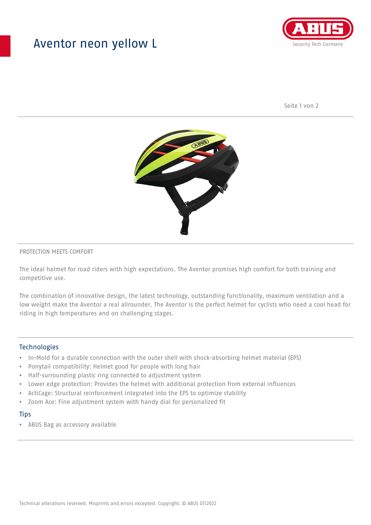## Aventor neon yellow L



Seite 1 von 2



#### PROTECTION MEETS COMFORT

The ideal helmet for road riders with high expectations. The Aventor promises high comfort for both training and competitive use.

The combination of innovative design, the latest technology, outstanding functionality, maximum ventilation and a low weight make the Aventor a real allrounder. The Aventor is the perfect helmet for cyclists who need a cool head for riding in high temperatures and on challenging stages.

#### **Technologies**

- In-Mold for a durable connection with the outer shell with shock-absorbing helmet material (EPS)
- Ponytail compatibility: Helmet good for people with long hair
- Half-surrounding plastic ring connected to adjustment system
- Lower edge protection: Provides the helmet with additional protection from external influences
- ActiCage: Structural reinforcement integrated into the EPS to optimize stability
- Zoom Ace: Fine adjustment system with handy dial for personalized fit

#### **Tips**

• ABUS Bag as accessory available